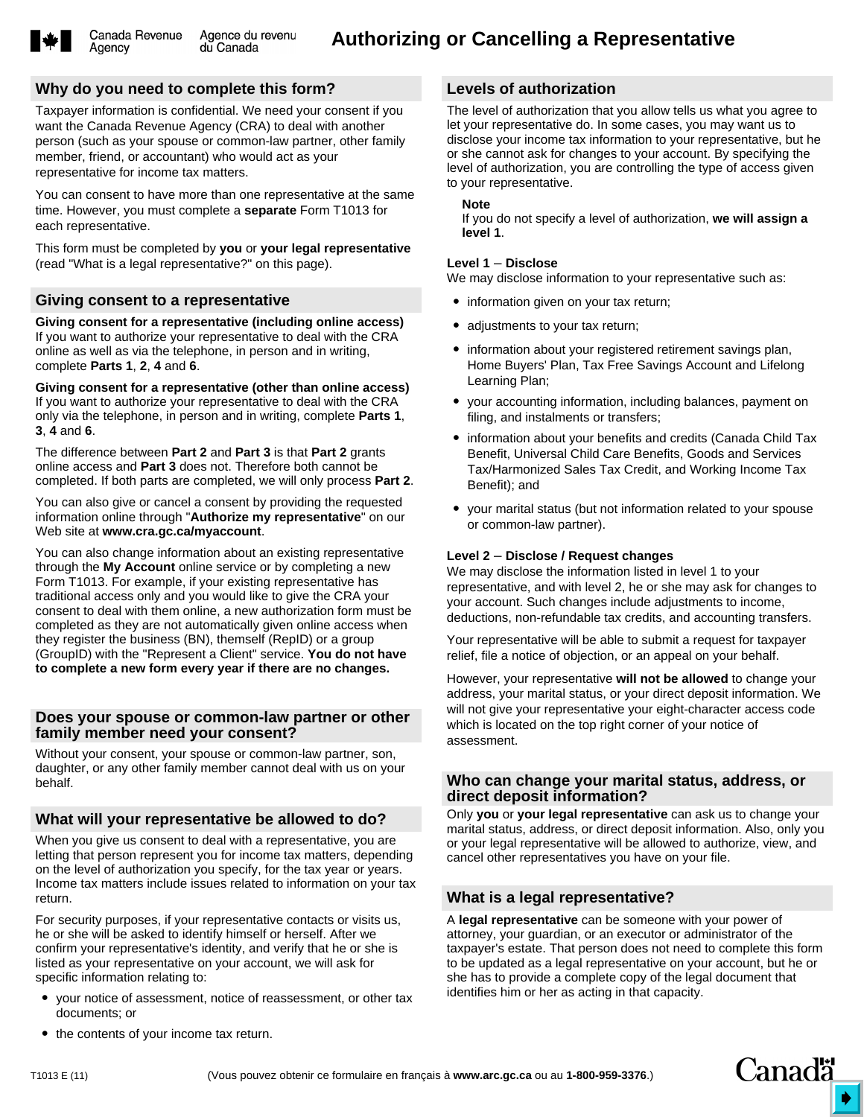Agency

# **Why do you need to complete this form?**

Taxpayer information is confidential. We need your consent if you want the Canada Revenue Agency (CRA) to deal with another person (such as your spouse or common-law partner, other family member, friend, or accountant) who would act as your representative for income tax matters.

You can consent to have more than one representative at the same time. However, you must complete a **separate** Form T1013 for each representative.

This form must be completed by **you** or **your legal representative** (read "What is a legal representative?" on this page).

### **Giving consent to a representative**

**Giving consent for a representative (including online access)** If you want to authorize your representative to deal with the CRA online as well as via the telephone, in person and in writing, complete **Parts 1**, **2**, **4** and **6**.

**Giving consent for a representative (other than online access)** If you want to authorize your representative to deal with the CRA only via the telephone, in person and in writing, complete **Parts 1**, **3**, **4** and **6**.

The difference between **Part 2** and **Part 3** is that **Part 2** grants online access and **Part 3** does not. Therefore both cannot be completed. If both parts are completed, we will only process **Part 2**.

You can also give or cancel a consent by providing the requested information online through "**Authorize my representative**" on our Web site at **www.cra.gc.ca/myaccount**.

You can also change information about an existing representative through the **My Account** online service or by completing a new Form T1013. For example, if your existing representative has traditional access only and you would like to give the CRA your consent to deal with them online, a new authorization form must be completed as they are not automatically given online access when they register the business (BN), themself (RepID) or a group (GroupID) with the "Represent a Client" service. **You do not have to complete a new form every year if there are no changes.**

### **Does your spouse or common-law partner or other family member need your consent?**

Without your consent, your spouse or common-law partner, son, daughter, or any other family member cannot deal with us on your behalf.

# **What will your representative be allowed to do?**

When you give us consent to deal with a representative, you are letting that person represent you for income tax matters, depending on the level of authorization you specify, for the tax year or years. Income tax matters include issues related to information on your tax return.

For security purposes, if your representative contacts or visits us, he or she will be asked to identify himself or herself. After we confirm your representative's identity, and verify that he or she is listed as your representative on your account, we will ask for specific information relating to:

 your notice of assessment, notice of reassessment, or other tax documents; or

### **Levels of authorization**

The level of authorization that you allow tells us what you agree to let your representative do. In some cases, you may want us to disclose your income tax information to your representative, but he or she cannot ask for changes to your account. By specifying the level of authorization, you are controlling the type of access given to your representative.

### **Note**

If you do not specify a level of authorization, **we will assign a level 1**.

### **Level 1** – **Disclose**

We may disclose information to your representative such as:

- information given on your tax return;
- adjustments to your tax return;
- information about your registered retirement savings plan, Home Buyers' Plan, Tax Free Savings Account and Lifelong Learning Plan;
- $\bullet$  your accounting information, including balances, payment on filing, and instalments or transfers;
- information about your benefits and credits (Canada Child Tax Benefit, Universal Child Care Benefits, Goods and Services Tax/Harmonized Sales Tax Credit, and Working Income Tax Benefit); and
- $\bullet$  your marital status (but not information related to your spouse or common-law partner).

### **Level 2** – **Disclose / Request changes**

We may disclose the information listed in level 1 to your representative, and with level 2, he or she may ask for changes to your account. Such changes include adjustments to income, deductions, non-refundable tax credits, and accounting transfers.

Your representative will be able to submit a request for taxpayer relief, file a notice of objection, or an appeal on your behalf.

However, your representative **will not be allowed** to change your address, your marital status, or your direct deposit information. We will not give your representative your eight-character access code which is located on the top right corner of your notice of assessment.

### **Who can change your marital status, address, or direct deposit information?**

Only **you** or **your legal representative** can ask us to change your marital status, address, or direct deposit information. Also, only you or your legal representative will be allowed to authorize, view, and cancel other representatives you have on your file.

### **What is a legal representative?**

A **legal representative** can be someone with your power of attorney, your guardian, or an executor or administrator of the taxpayer's estate. That person does not need to complete this form to be updated as a legal representative on your account, but he or she has to provide a complete copy of the legal document that identifies him or her as acting in that capacity.

• the contents of your income tax return.

Canadä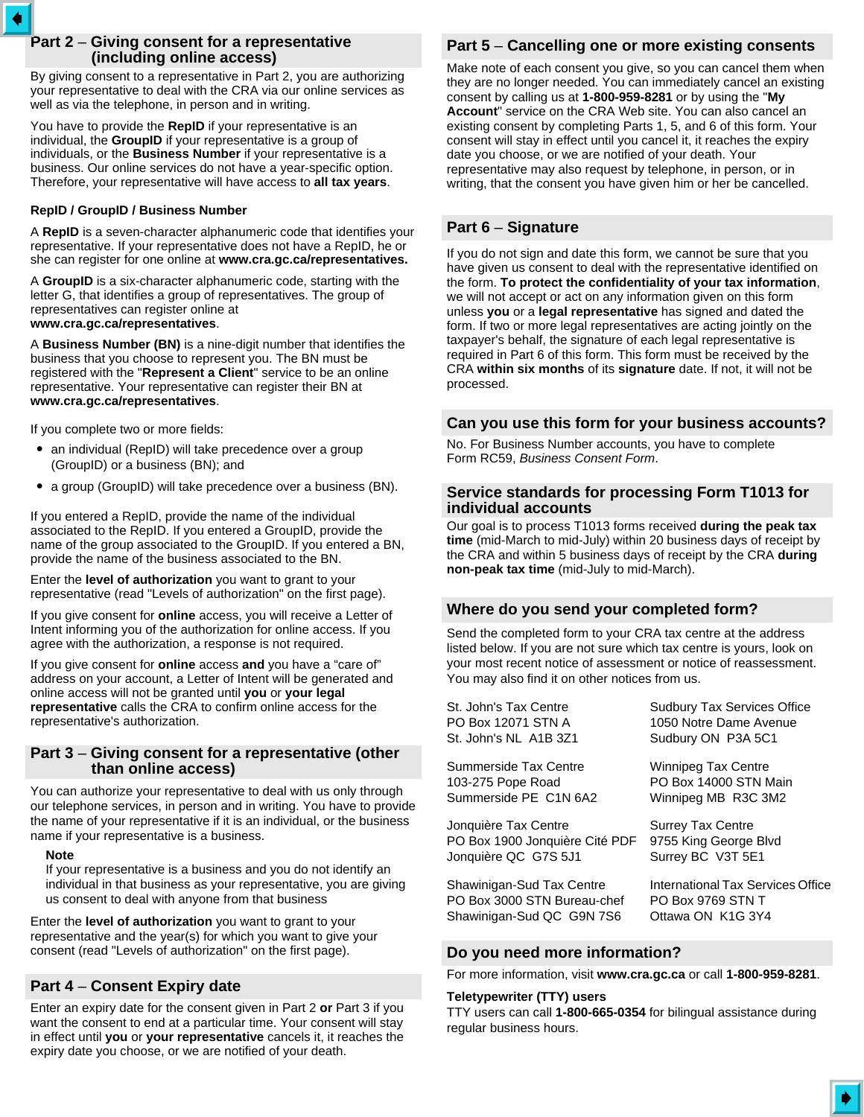# **Part 2** – **Giving consent for a representative (including online access)**

By giving consent to a representative in Part 2, you are authorizing your representative to deal with the CRA via our online services as well as via the telephone, in person and in writing.

You have to provide the **RepID** if your representative is an individual, the **GroupID** if your representative is a group of individuals, or the **Business Number** if your representative is a business. Our online services do not have a year-specific option. Therefore, your representative will have access to **all tax years**.

### **RepID / GroupID / Business Number**

A **RepID** is a seven-character alphanumeric code that identifies your representative. If your representative does not have a RepID, he or she can register for one online at **www.cra.gc.ca/representatives.**

A **GroupID** is a six-character alphanumeric code, starting with the letter G, that identifies a group of representatives. The group of representatives can register online at **www.cra.gc.ca/representatives**.

A **Business Number (BN)** is a nine-digit number that identifies the business that you choose to represent you. The BN must be registered with the "**Represent a Client**" service to be an online representative. Your representative can register their BN at **www.cra.gc.ca/representatives**.

If you complete two or more fields:

- an individual (RepID) will take precedence over a group (GroupID) or a business (BN); and
- a group (GroupID) will take precedence over a business (BN).

If you entered a RepID, provide the name of the individual associated to the RepID. If you entered a GroupID, provide the name of the group associated to the GroupID. If you entered a BN, provide the name of the business associated to the BN.

Enter the **level of authorization** you want to grant to your representative (read "Levels of authorization" on the first page).

If you give consent for **online** access, you will receive a Letter of Intent informing you of the authorization for online access. If you agree with the authorization, a response is not required.

If you give consent for **online** access **and** you have a "care of" address on your account, a Letter of Intent will be generated and online access will not be granted until **you** or **your legal representative** calls the CRA to confirm online access for the representative's authorization.

### **Part 3** – **Giving consent for a representative (other than online access)**

You can authorize your representative to deal with us only through our telephone services, in person and in writing. You have to provide the name of your representative if it is an individual, or the business name if your representative is a business.

#### **Note**

If your representative is a business and you do not identify an individual in that business as your representative, you are giving us consent to deal with anyone from that business

Enter the **level of authorization** you want to grant to your representative and the year(s) for which you want to give your consent (read "Levels of authorization" on the first page).

### **Part 4** – **Consent Expiry date**

Enter an expiry date for the consent given in Part 2 **or** Part 3 if you want the consent to end at a particular time. Your consent will stay in effect until **you** or **your representative** cancels it, it reaches the expiry date you choose, or we are notified of your death.

# **Part 5** – **Cancelling one or more existing consents**

Make note of each consent you give, so you can cancel them when they are no longer needed. You can immediately cancel an existing consent by calling us at **1-800-959-8281** or by using the "**My Account**" service on the CRA Web site. You can also cancel an existing consent by completing Parts 1, 5, and 6 of this form. Your consent will stay in effect until you cancel it, it reaches the expiry date you choose, or we are notified of your death. Your representative may also request by telephone, in person, or in writing, that the consent you have given him or her be cancelled.

# **Part 6** – **Signature**

If you do not sign and date this form, we cannot be sure that you have given us consent to deal with the representative identified on the form. **To protect the confidentiality of your tax information**, we will not accept or act on any information given on this form unless **you** or a **legal representative** has signed and dated the form. If two or more legal representatives are acting jointly on the taxpayer's behalf, the signature of each legal representative is required in Part 6 of this form. This form must be received by the CRA **within six months** of its **signature** date. If not, it will not be processed.

# **Can you use this form for your business accounts?**

No. For Business Number accounts, you have to complete Form RC59, *Business Consent Form*.

### **Service standards for processing Form T1013 for individual accounts**

Our goal is to process T1013 forms received **during the peak tax time** (mid-March to mid-July) within 20 business days of receipt by the CRA and within 5 business days of receipt by the CRA **during non-peak tax time** (mid-July to mid-March).

# **Where do you send your completed form?**

Send the completed form to your CRA tax centre at the address listed below. If you are not sure which tax centre is yours, look on your most recent notice of assessment or notice of reassessment. You may also find it on other notices from us.

| St. John's Tax Centre          | <b>Sudbury Tax Services Office</b> |
|--------------------------------|------------------------------------|
| PO Box 12071 STN A             | 1050 Notre Dame Avenue             |
| St. John's NL A1B 3Z1          | Sudbury ON P3A 5C1                 |
| Summerside Tax Centre          | <b>Winnipeg Tax Centre</b>         |
| 103-275 Pope Road              | PO Box 14000 STN Main              |
| Summerside PE C1N 6A2          | Winnipeg MB R3C 3M2                |
| Jonquière Tax Centre           | <b>Surrey Tax Centre</b>           |
| PO Box 1900 Jonquière Cité PDF | 9755 King George Blvd              |
| Jonquière QC G7S 5J1           | Surrey BC V3T 5E1                  |
| Shawinigan-Sud Tax Centre      | International Tax Services Office  |
| PO Box 3000 STN Bureau-chef    | PO Box 9769 STN T                  |
| Shawinigan-Sud QC G9N 7S6      | Ottawa ON K1G 3Y4                  |

### **Do you need more information?**

For more information, visit **www.cra.gc.ca** or call **1-800-959-8281**.

#### **Teletypewriter (TTY) users**

TTY users can call **1-800-665-0354** for bilingual assistance during regular business hours.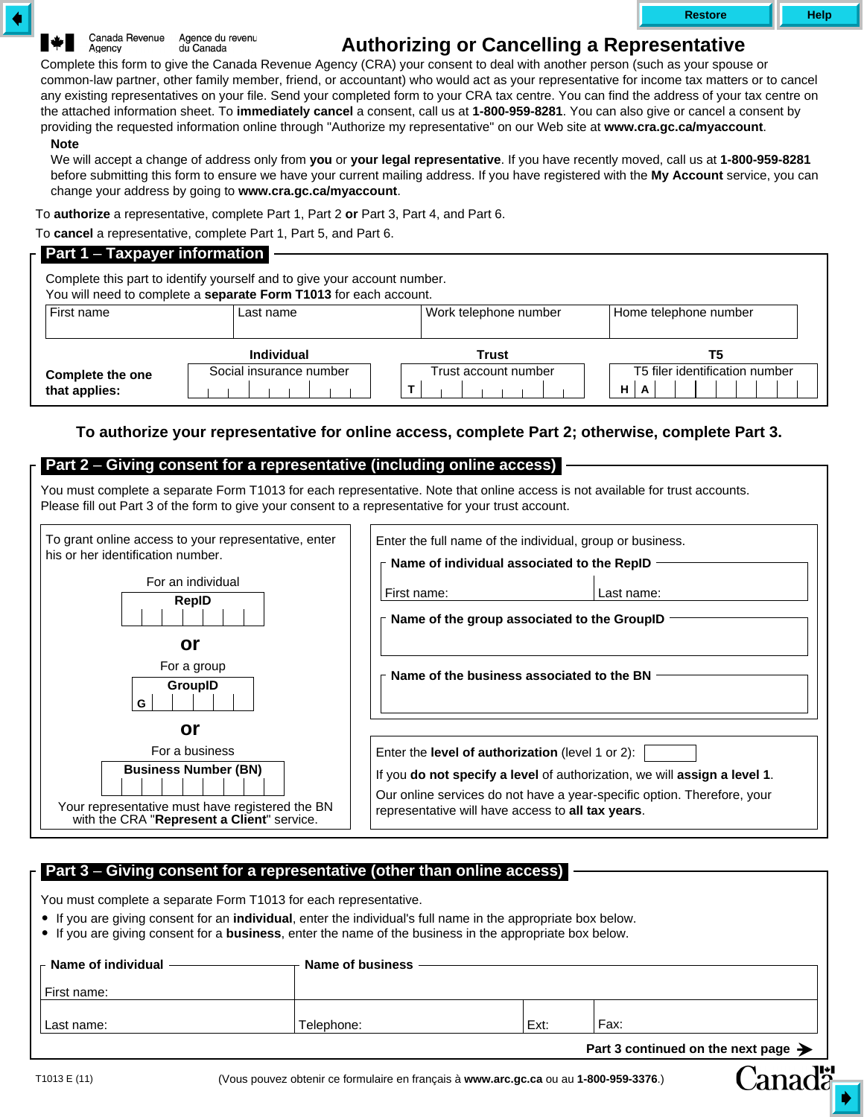Canada Revenue Agence du revenu Agency du Canada

# **Authorizing or Cancelling a Representative**

Complete this form to give the Canada Revenue Agency (CRA) your consent to deal with another person (such as your spouse or common-law partner, other family member, friend, or accountant) who would act as your representative for income tax matters or to cancel any existing representatives on your file. Send your completed form to your CRA tax centre. You can find the address of your tax centre on the attached information sheet. To **immediately cancel** a consent, call us at **1-800-959-8281**. You can also give or cancel a consent by providing the requested information online through "Authorize my representative" on our Web site at **www.cra.gc.ca/myaccount**.

### **Note**

We will accept a change of address only from **you** or **your legal representative**. If you have recently moved, call us at **1-800-959-8281** before submitting this form to ensure we have your current mailing address. If you have registered with the **My Account** service, you can change your address by going to **www.cra.gc.ca/myaccount**.

To **authorize** a representative, complete Part 1, Part 2 **or** Part 3, Part 4, and Part 6.

To **cancel** a representative, complete Part 1, Part 5, and Part 6.

### **Part 1** – **Taxpayer information**

Complete this part to identify yourself and to give your account number. You will need to complete a **separate Form T1013** for each account.

| First name                        | Last name                                    | Work telephone number         | Home telephone number                                       |
|-----------------------------------|----------------------------------------------|-------------------------------|-------------------------------------------------------------|
| Complete the one<br>that applies: | <b>Individual</b><br>Social insurance number | Trust<br>Trust account number | Τ5<br>T5 filer identification number<br>H <sub>1</sub><br>A |

# **To authorize your representative for online access, complete Part 2; otherwise, complete Part 3.**

# **Part 2** – **Giving consent for a representative (including online access)**

You must complete a separate Form T1013 for each representative. Note that online access is not available for trust accounts. Please fill out Part 3 of the form to give your consent to a representative for your trust account.

| To grant online access to your representative, enter<br>his or her identification number.<br>For an individual<br>RepID<br>or<br>For a group<br>GroupID | Enter the full name of the individual, group or business.<br>Name of individual associated to the RepID<br>First name:<br>Last name:<br>Name of the group associated to the GroupID<br>Name of the business associated to the BN |
|---------------------------------------------------------------------------------------------------------------------------------------------------------|----------------------------------------------------------------------------------------------------------------------------------------------------------------------------------------------------------------------------------|
| G<br>or                                                                                                                                                 |                                                                                                                                                                                                                                  |
| For a business                                                                                                                                          | Enter the <b>level of authorization</b> (level 1 or 2):                                                                                                                                                                          |
| <b>Business Number (BN)</b><br>Your representative must have registered the BN<br>with the CRA "Represent a Client" service.                            | If you do not specify a level of authorization, we will assign a level 1.<br>Our online services do not have a year-specific option. Therefore, your<br>representative will have access to all tax years.                        |

# **Part 3** – **Giving consent for a representative (other than online access)**

You must complete a separate Form T1013 for each representative.

- If you are giving consent for an **individual**, enter the individual's full name in the appropriate box below.
- If you are giving consent for a **business**, enter the name of the business in the appropriate box below.

| $\overline{a}$ Name of individual | Name of business |      |                                                 |  |  |
|-----------------------------------|------------------|------|-------------------------------------------------|--|--|
| First name:                       |                  |      |                                                 |  |  |
| Last name:                        | Telephone:       | Ext: | Fax:                                            |  |  |
|                                   |                  |      | Part 3 continued on the next page $\rightarrow$ |  |  |